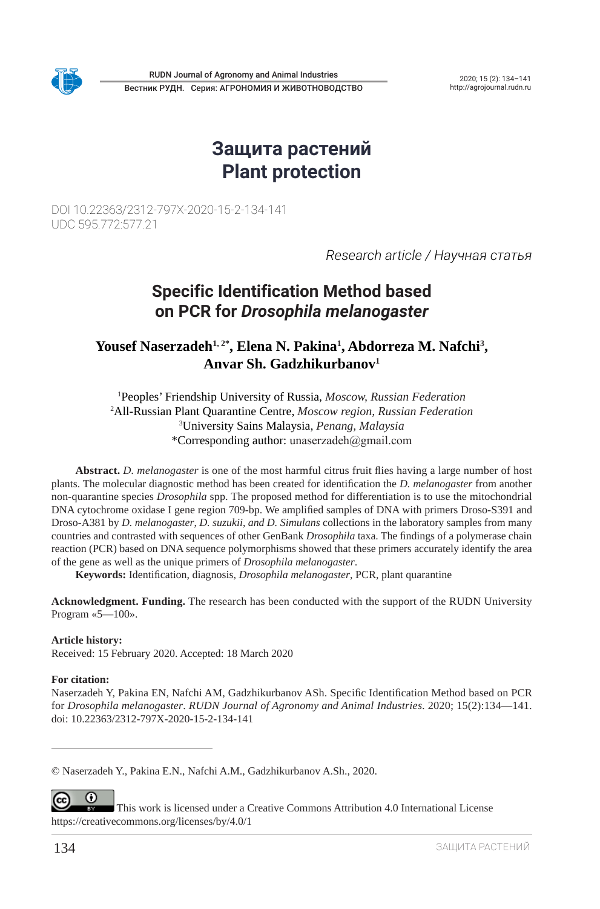

Вестник РУДН. Серия: АГРОНОМИЯ И ЖИВОТНОВОДСТВО RUDN Journal of Agronomy and Animal Industries 2020; 15 (2): 134-141

http://agrojournal.rudn.ru

# **Защита растений Plant protection**

DOI 10.22363/2312-797X-2020-15-2-134-141 UDC 595.772:577.21

*Research article / Научная статья*

## **Specific Identification Method based on PCR for** *Drosophila melanogaster*

**Yousef Naserzadeh1, 2\*, Elena N. Pakina1 , Abdorreza M. Nafchi3 , Anvar Sh. Gadzhikurbanov1**

 Peoples' Friendship University of Russia, *Moscow, Russian Federation* All-Russian Plant Quarantine Centre, *Moscow region, Russian Federation* University Sains Malaysia, *Penang, Malaysia* \*Corresponding author: unaserzadeh@gmail.com

**Abstract.** *D. melanogaster* is one of the most harmful citrus fruit flies having a large number of host plants. The molecular diagnostic method has been created for identification the *D. melanogaster* from another non-quarantine species *Drosophila* spp. The proposed method for differentiation is to use the mitochondrial DNA cytochrome oxidase I gene region 709-bp. We amplified samples of DNA with primers Droso-S391 and Droso-A381 by *D. melanogaster*, *D. suzukii*, *and D. Simulans* collections in the laboratory samples from many countries and contrasted with sequences of other GenBank *Drosophila* taxa. The findings of a polymerase chain reaction (PCR) based on DNA sequence polymorphisms showed that these primers accurately identify the area of the gene as well as the unique primers of *Drosophila melanogaster*.

**Keywords:** Identification, diagnosis*, Drosophila melanogaster*, PCR, plant quarantine

**Acknowledgment. Funding.** The research has been conducted with the support of the RUDN University Program «5—100».

#### **Article history:**

Received: 15 February 2020. Accepted: 18 March 2020

#### **For citation:**

Naserzadeh Y, Pakina EN, Nafchi AM, Gadzhikurbanov ASh. Specific Identification Method based on PCR for *Drosophila melanogaster*. *RUDN Journal of Agronomy and Animal Industries*. 2020; 15(2):134—141. doi: 10.22363/2312-797X‑2020-15-2-134-141

© Naserzadeh Y., Pakina E.N., Nafchi A.M., Gadzhikurbanov A.Sh., 2020.

⋒ (cc This work is licensed under a Creative Commons Attribution 4.0 International License https://creativecommons.org/licenses/by/4.0/1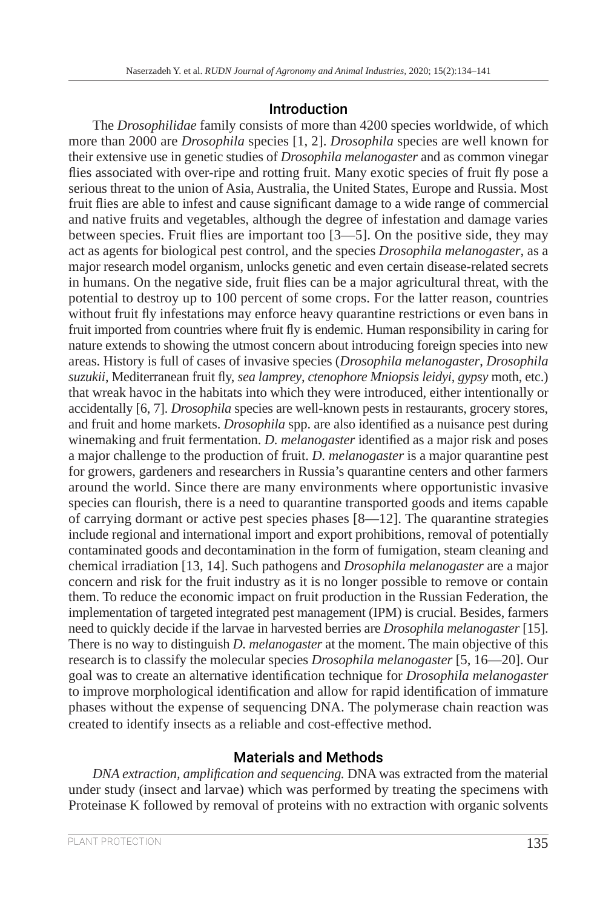### Introduction

The *Drosophilidae* family consists of more than 4200 species worldwide, of which more than 2000 are *Drosophila* species [1, 2]. *Drosophila* species are well known for their extensive use in genetic studies of *Drosophila melanogaster* and as common vinegar flies associated with over-ripe and rotting fruit. Many exotic species of fruit fly pose a serious threat to the union of Asia, Australia, the United States, Europe and Russia. Most fruit flies are able to infest and cause significant damage to a wide range of commercial and native fruits and vegetables, although the degree of infestation and damage varies between species. Fruit flies are important too [3—5]. On the positive side, they may act as agents for biological pest control, and the species *Drosophila melanogaster*, as a major research model organism, unlocks genetic and even certain disease-related secrets in humans. On the negative side, fruit flies can be a major agricultural threat, with the potential to destroy up to 100 percent of some crops. For the latter reason, countries without fruit fly infestations may enforce heavy quarantine restrictions or even bans in fruit imported from countries where fruit fly is endemic. Human responsibility in caring for nature extends to showing the utmost concern about introducing foreign species into new areas. History is full of cases of invasive species (*Drosophila melanogaster*, *Drosophila suzukii*, Mediterranean fruit fly, *sea lamprey*, *ctenophore Mniopsis leidyi*, *gypsy* moth, etc.) that wreak havoc in the habitats into which they were introduced, either intentionally or accidentally [6, 7]. *Drosophila* species are well-known pests in restaurants, grocery stores, and fruit and home markets. *Drosophila* spp. are also identified as a nuisance pest during winemaking and fruit fermentation. *D. melanogaster* identified as a major risk and poses a major challenge to the production of fruit. *D. melanogaster* is a major quarantine pest for growers, gardeners and researchers in Russia's quarantine centers and other farmers around the world. Since there are many environments where opportunistic invasive species can flourish, there is a need to quarantine transported goods and items capable of carrying dormant or active pest species phases  $[8-12]$ . The quarantine strategies include regional and international import and export prohibitions, removal of potentially contaminated goods and decontamination in the form of fumigation, steam cleaning and chemical irradiation [13, 14]. Such pathogens and *Drosophila melanogaster* are a major concern and risk for the fruit industry as it is no longer possible to remove or contain them. To reduce the economic impact on fruit production in the Russian Federation, the implementation of targeted integrated pest management (IPM) is crucial. Besides, farmers need to quickly decide if the larvae in harvested berries are *Drosophila melanogaster* [15]. There is no way to distinguish *D. melanogaster* at the moment. The main objective of this research is to classify the molecular species *Drosophila melanogaster* [5, 16—20]. Our goal was to create an alternative identification technique for *Drosophila melanogaster* to improve morphological identification and allow for rapid identification of immature phases without the expense of sequencing DNA. The polymerase chain reaction was created to identify insects as a reliable and cost-effective method.

### Materials and Methods

*DNA extraction, amplification and sequencing.* DNA was extracted from the material under study (insect and larvae) which was performed by treating the specimens with Proteinase K followed by removal of proteins with no extraction with organic solvents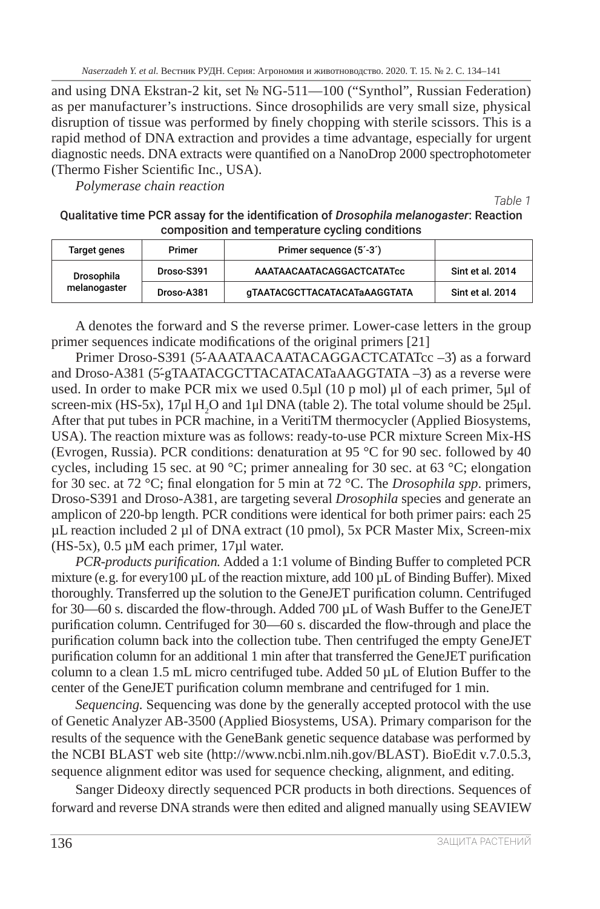*Naserzadeh Y. et al.* Вестник РУДН. Серия: Агрономия и животноводство. 2020. Т. 15. № 2. С. 134–141

and using DNA Ekstran‑2 kit, set № NG‑511—100 ("Synthol", Russian Federation) as per manufacturer's instructions. Since drosophilids are very small size, physical disruption of tissue was performed by finely chopping with sterile scissors. This is a rapid method of DNA extraction and provides a time advantage, especially for urgent diagnostic needs. DNA extracts were quantified on a NanoDrop 2000 spectrophotometer (Thermo Fisher Scientific Inc., USA).

*Polymerase chain reaction*

*Table 1*

| Qualitative time PCR assay for the identification of <i>Drosophila melanogaster</i> : Reaction |
|------------------------------------------------------------------------------------------------|
| composition and temperature cycling conditions                                                 |

| Target genes               | Primer     | Primer sequence (5'-3')      |                  |
|----------------------------|------------|------------------------------|------------------|
| Drosophila<br>melanogaster | Droso-S391 | AAATAACAATACAGGACTCATATcc    | Sint et al. 2014 |
|                            | Droso-A381 | qTAATACGCTTACATACATaAAGGTATA | Sint et al. 2014 |

A denotes the forward and S the reverse primer. Lower-case letters in the group primer sequences indicate modifications of the original primers [21]

Primer Droso-S391 (5́-AAATAACAATACAGGACTCATATcc –3́) as a forward and Droso-A381 (5́-gTAATACGCTTACATACATaAAGGTATA –3́) as a reverse were used. In order to make PCR mix we used 0.5µl (10 p mol) μl of each primer, 5μl of screen-mix (HS-5x),  $17\mu$ l H<sub>2</sub>O and 1 $\mu$ l DNA (table 2). The total volume should be 25 $\mu$ l. After that put tubes in PCR machine, in a VeritiTM thermocycler (Applied Biosystems, USA). The reaction mixture was as follows: ready-to-use PCR mixture Screen Mix-HS (Evrogen, Russia). PCR conditions: denaturation at 95 °C for 90 sec. followed by 40 cycles, including 15 sec. at 90 °C; primer annealing for 30 sec. at 63 °C; elongation for 30 sec. at 72 °C; final elongation for 5 min at 72 °C. The *Drosophila spp*. primers, Droso-S391 and Droso-A381, are targeting several *Drosophila* species and generate an amplicon of 220-bp length. PCR conditions were identical for both primer pairs: each 25 µL reaction included 2 µl of DNA extract (10 pmol), 5x PCR Master Mix, Screen-mix  $(HS-5x)$ , 0.5 µM each primer, 17µl water.

*PCR‑products purification.* Added a 1:1 volume of Binding Buffer to completed PCR mixture (e.g. for every100 µL of the reaction mixture, add 100 µL of Binding Buffer). Mixed thoroughly. Transferred up the solution to the GeneJET purification column. Centrifuged for 30—60 s. discarded the flow-through. Added 700 µL of Wash Buffer to the GeneJET purification column. Centrifuged for 30—60 s. discarded the flow-through and place the purification column back into the collection tube. Then centrifuged the empty GeneJET purification column for an additional 1 min after that transferred the GeneJET purification column to a clean 1.5 mL micro centrifuged tube. Added 50 µL of Elution Buffer to the center of the GeneJET purification column membrane and centrifuged for 1 min.

*Sequencing.* Sequencing was done by the generally accepted protocol with the use of Genetic Analyzer AB‑3500 (Applied Biosystems, USA). Primary comparison for the results of the sequence with the GeneBank genetic sequence database was performed by the NCBI BLAST web site (http://www.ncbi.nlm.nih.gov/BLAST). BioEdit v.7.0.5.3, sequence alignment editor was used for sequence checking, alignment, and editing.

Sanger Dideoxy directly sequenced PCR products in both directions. Sequences of forward and reverse DNA strands were then edited and aligned manually using SEAVIEW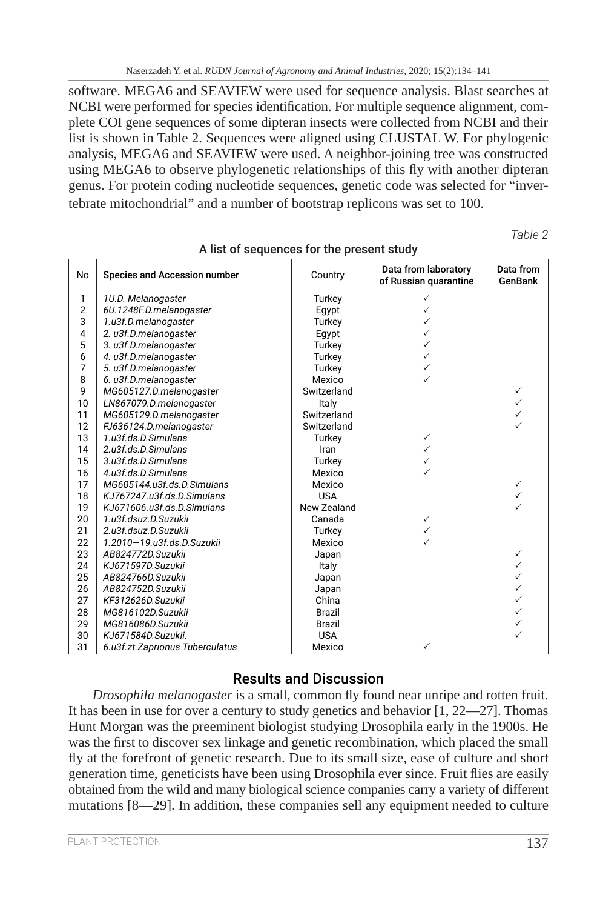software. MEGA6 and SEAVIEW were used for sequence analysis. Blast searches at NCBI were performed for species identification. For multiple sequence alignment, complete COI gene sequences of some dipteran insects were collected from NCBI and their list is shown in Table 2. Sequences were aligned using CLUSTAL W. For phylogenic analysis, MEGA6 and SEAVIEW were used. A neighbor-joining tree was constructed using MEGA6 to observe phylogenetic relationships of this fly with another dipteran genus. For protein coding nucleotide sequences, genetic code was selected for "invertebrate mitochondrial" and a number of bootstrap replicons was set to 100.

*Table 2*

| No             | Species and Accession number    | Country       | Data from laboratory<br>of Russian quarantine | Data from<br><b>GenBank</b> |
|----------------|---------------------------------|---------------|-----------------------------------------------|-----------------------------|
|                |                                 |               |                                               |                             |
| 1              | 1U.D. Melanogaster              | Turkey        | ✓                                             |                             |
| $\overline{2}$ | 6U.1248F.D.melanogaster         | Egypt         |                                               |                             |
| 3              | 1.u3f.D.melanogaster            | Turkey        | ✓                                             |                             |
| $\overline{4}$ | 2. u3f.D.melanogaster           | Egypt         | ✓                                             |                             |
| 5              | 3. u3f.D.melanogaster           | Turkey        | $\checkmark$                                  |                             |
| 6              | 4. u3f.D.melanogaster           | Turkey        | ✓                                             |                             |
| $\overline{7}$ | 5. u3f.D.melanogaster           | Turkey        | ✓                                             |                             |
| 8              | 6. u3f.D.melanogaster           | Mexico        |                                               |                             |
| 9              | MG605127.D.melanogaster         | Switzerland   |                                               | $\checkmark$                |
| 10             | LN867079.D.melanogaster         | Italy         |                                               | $\checkmark$                |
| 11             | MG605129.D.melanogaster         | Switzerland   |                                               | $\checkmark$                |
| 12             | FJ636124.D.melanogaster         | Switzerland   |                                               | ✓                           |
| 13             | 1.u3f.ds.D.Simulans             | Turkey        | $\checkmark$                                  |                             |
| 14             | 2.u3f.ds.D.Simulans             | Iran          | $\checkmark$                                  |                             |
| 15             | 3.u3f.ds.D.Simulans             | Turkey        |                                               |                             |
| 16             | 4.u3f.ds.D.Simulans             | Mexico        |                                               |                             |
| 17             | MG605144.u3f.ds.D.Simulans      | Mexico        |                                               | $\checkmark$                |
| 18             | KJ767247.u3f.ds.D.Simulans      | <b>USA</b>    |                                               | $\checkmark$                |
| 19             | KJ671606.u3f.ds.D.Simulans      | New Zealand   |                                               | ✓                           |
| 20             | 1.u3f.dsuz.D.Suzukii            | Canada        | $\checkmark$                                  |                             |
| 21             | 2.u3f.dsuz.D.Suzukii            | Turkey        |                                               |                             |
| 22             | 1.2010-19.u3f.ds.D.Suzukii      | Mexico        |                                               |                             |
| 23             | AB824772D.Suzukii               | Japan         |                                               | $\checkmark$                |
| 24             | KJ671597D.Suzukii               | Italy         |                                               | $\checkmark$                |
| 25             | AB824766D.Suzukii               | Japan         |                                               | $\checkmark$                |
| 26             | AB824752D.Suzukii               | Japan         |                                               | $\checkmark$                |
| 27             | KF312626D.Suzukii               | China         |                                               | $\checkmark$                |
| 28             | MG816102D.Suzukii               | <b>Brazil</b> |                                               | $\checkmark$                |
| 29             | MG816086D.Suzukii               | <b>Brazil</b> |                                               | $\checkmark$                |
| 30             | KJ671584D.Suzukii.              | <b>USA</b>    |                                               | ✓                           |
| 31             | 6.u3f.zt.Zaprionus Tuberculatus | Mexico        | $\checkmark$                                  |                             |

#### A list of sequences for the present study

### Results and Discussion

*Drosophila melanogaster* is a small, common fly found near unripe and rotten fruit. It has been in use for over a century to study genetics and behavior [1, 22—27]. Thomas Hunt Morgan was the preeminent biologist studying Drosophila early in the 1900s. He was the first to discover sex linkage and genetic recombination, which placed the small fly at the forefront of genetic research. Due to its small size, ease of culture and short generation time, geneticists have been using Drosophila ever since. Fruit flies are easily obtained from the wild and many biological science companies carry a variety of different mutations [8—29]. In addition, these companies sell any equipment needed to culture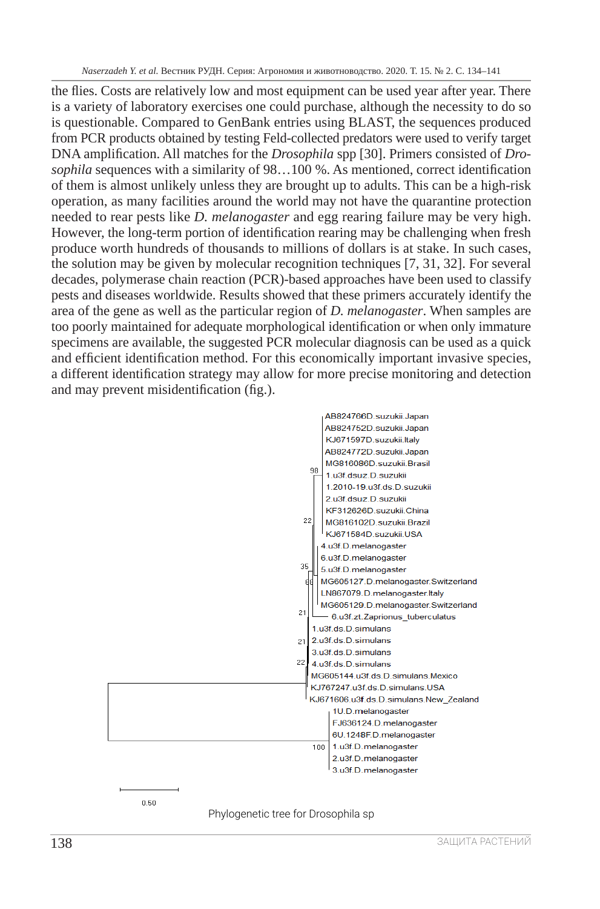the flies. Costs are relatively low and most equipment can be used year after year. There is a variety of laboratory exercises one could purchase, although the necessity to do so is questionable. Compared to GenBank entries using BLAST, the sequences produced from PCR products obtained by testing Feld-collected predators were used to verify target DNA amplification. All matches for the *Drosophila* spp [30]. Primers consisted of *Drosophila* sequences with a similarity of 98…100 %. As mentioned, correct identification of them is almost unlikely unless they are brought up to adults. This can be a high-risk operation, as many facilities around the world may not have the quarantine protection needed to rear pests like *D. melanogaster* and egg rearing failure may be very high. However, the long-term portion of identification rearing may be challenging when fresh produce worth hundreds of thousands to millions of dollars is at stake. In such cases, the solution may be given by molecular recognition techniques [7, 31, 32]. For several decades, polymerase chain reaction (PCR)-based approaches have been used to classify pests and diseases worldwide. Results showed that these primers accurately identify the area of the gene as well as the particular region of *D. melanogaster*. When samples are too poorly maintained for adequate morphological identification or when only immature specimens are available, the suggested PCR molecular diagnosis can be used as a quick and efficient identification method. For this economically important invasive species, a different identification strategy may allow for more precise monitoring and detection and may prevent misidentification (fig.).



Phylogenetic tree for Drosophila sp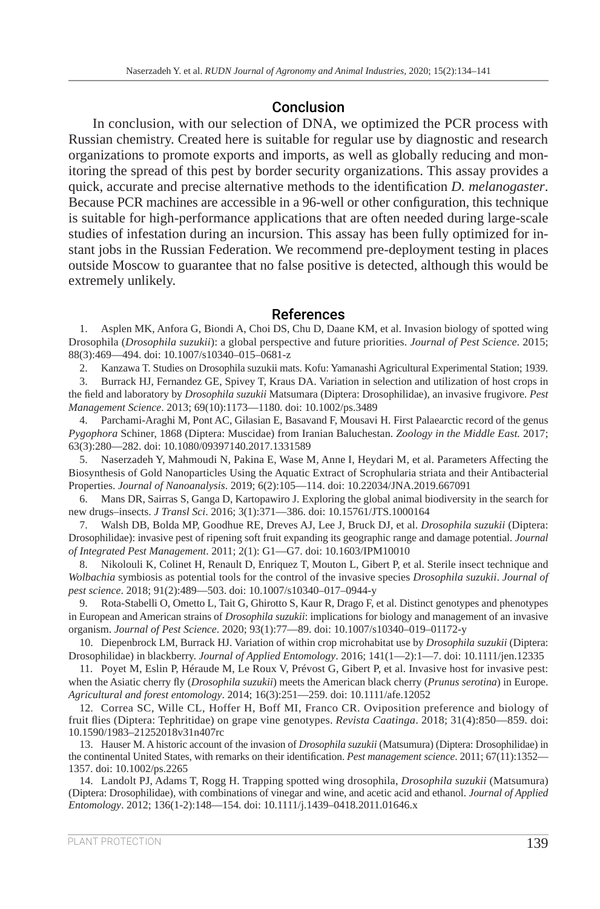### Conclusion

In conclusion, with our selection of DNA, we optimized the PCR process with Russian chemistry. Created here is suitable for regular use by diagnostic and research organizations to promote exports and imports, as well as globally reducing and monitoring the spread of this pest by border security organizations. This assay provides a quick, accurate and precise alternative methods to the identification *D. melanogaster*. Because PCR machines are accessible in a 96-well or other configuration, this technique is suitable for high-performance applications that are often needed during large-scale studies of infestation during an incursion. This assay has been fully optimized for instant jobs in the Russian Federation. We recommend pre-deployment testing in places outside Moscow to guarantee that no false positive is detected, although this would be extremely unlikely.

### References

1. Asplen MK, Anfora G, Biondi A, Choi DS, Chu D, Daane KM, et al. Invasion biology of spotted wing Drosophila (*Drosophila suzukii*): a global perspective and future priorities. *Journal of Pest Science*. 2015; 88(3):469—494. doi: 10.1007/s10340–015–0681-z

2. Kanzawa T. Studies on Drosophila suzukii mats. Kofu: Yamanashi Agricultural Experimental Station; 1939.

3. Burrack HJ, Fernandez GE, Spivey T, Kraus DA. Variation in selection and utilization of host crops in the field and laboratory by *Drosophila suzukii* Matsumara (Diptera: Drosophilidae), an invasive frugivore. *Pest Management Science*. 2013; 69(10):1173—1180. doi: 10.1002/ps.3489

4. Parchami-Araghi M, Pont AC, Gilasian E, Basavand F, Mousavi H. First Palaearctic record of the genus *Pygophora* Schiner, 1868 (Diptera: Muscidae) from Iranian Baluchestan. *Zoology in the Middle East.* 2017; 63(3):280—282. doi: 10.1080/09397140.2017.1331589

5. Naserzadeh Y, Mahmoudi N, Pakina E, Wase M, Anne I, Heydari M, et al. Parameters Affecting the Biosynthesis of Gold Nanoparticles Using the Aquatic Extract of Scrophularia striata and their Antibacterial Properties. *Journal of Nanoanalysis*. 2019; 6(2):105—114. doi: 10.22034/JNA.2019.667091

6. Mans DR, Sairras S, Ganga D, Kartopawiro J. Exploring the global animal biodiversity in the search for new drugs–insects. *J Transl Sci*. 2016; 3(1):371—386. doi: 10.15761/JTS.1000164

7. Walsh DB, Bolda MP, Goodhue RE, Dreves AJ, Lee J, Bruck DJ, et al. *Drosophila suzukii* (Diptera: Drosophilidae): invasive pest of ripening soft fruit expanding its geographic range and damage potential. *Journal of Integrated Pest Management*. 2011; 2(1): G1—G7. doi: 10.1603/IPM10010

8. Nikolouli K, Colinet H, Renault D, Enriquez T, Mouton L, Gibert P, et al. Sterile insect technique and *Wolbachia* symbiosis as potential tools for the control of the invasive species *Drosophila suzukii*. *Journal of pest science*. 2018; 91(2):489—503. doi: 10.1007/s10340–017–0944-y

9. Rota-Stabelli O, Ometto L, Tait G, Ghirotto S, Kaur R, Drago F, et al. Distinct genotypes and phenotypes in European and American strains of *Drosophila suzukii*: implications for biology and management of an invasive organism. *Journal of Pest Science*. 2020; 93(1):77—89. doi: 10.1007/s10340–019–01172-y

10. Diepenbrock LM, Burrack HJ. Variation of within crop microhabitat use by *Drosophila suzukii* (Diptera: Drosophilidae) in blackberry. *Journal of Applied Entomology*. 2016; 141(1—2):1—7. doi: 10.1111/jen.12335

11. Poyet M, Eslin P, Héraude M, Le Roux V, Prévost G, Gibert P, et al. Invasive host for invasive pest: when the Asiatic cherry fly (*Drosophila suzukii*) meets the American black cherry (*Prunus serotina*) in Europe. *Agricultural and forest entomology*. 2014; 16(3):251—259. doi: 10.1111/afe.12052

12. Correa SC, Wille CL, Hoffer H, Boff MI, Franco CR. Oviposition preference and biology of fruit flies (Diptera: Tephritidae) on grape vine genotypes. *Revista Caatinga*. 2018; 31(4):850—859. doi: 10.1590/1983–21252018v31n407rc

13. Hauser M. A historic account of the invasion of *Drosophila suzukii* (Matsumura) (Diptera: Drosophilidae) in the continental United States, with remarks on their identification. *Pest management science*. 2011; 67(11):1352— 1357. doi: 10.1002/ps.2265

14. Landolt PJ, Adams T, Rogg H. Trapping spotted wing drosophila, *Drosophila suzukii* (Matsumura) (Diptera: Drosophilidae), with combinations of vinegar and wine, and acetic acid and ethanol. *Journal of Applied Entomology*. 2012; 136(1-2):148—154. doi: 10.1111/j.1439–0418.2011.01646.x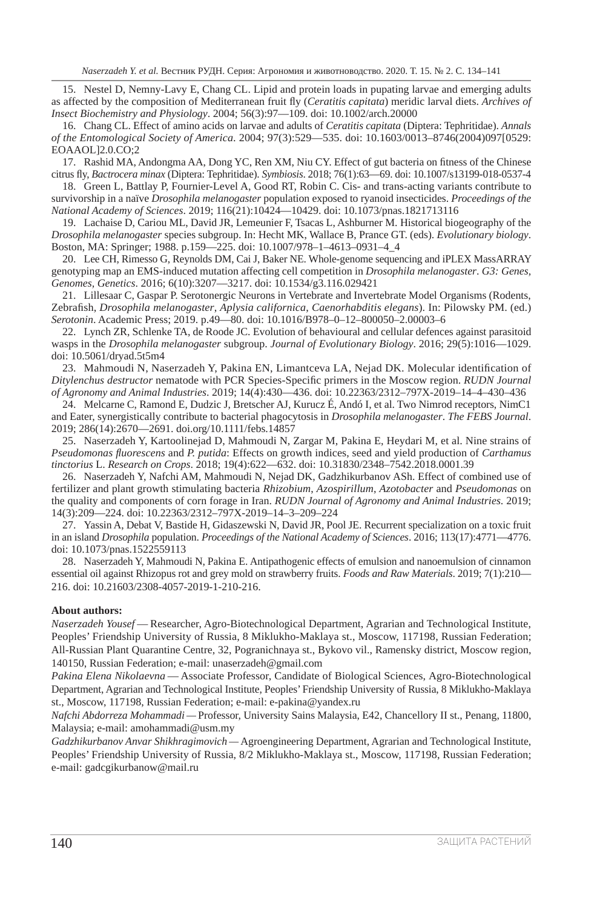15. Nestel D, Nemny-Lavy E, Chang CL. Lipid and protein loads in pupating larvae and emerging adults as affected by the composition of Mediterranean fruit fly (*Ceratitis capitata*) meridic larval diets. *Archives of Insect Biochemistry and Physiology*. 2004; 56(3):97—109. doi: 10.1002/arch.20000

16. Chang CL. Effect of amino acids on larvae and adults of *Ceratitis capitata* (Diptera: Tephritidae). *Annals of the Entomological Society of America*. 2004; 97(3):529—535. doi: 10.1603/0013–8746(2004)097[0529: EOAAOL]2.0.CO;2

17. Rashid MA, Andongma AA, Dong YC, Ren XM, Niu CY. Effect of gut bacteria on fitness of the Chinese citrus fly, *Bactrocera minax* (Diptera: Tephritidae). *Symbiosis*. 2018; 76(1):63—69. doi: 10.1007/s13199-018-0537-4

18. Green L, Battlay P, Fournier-Level A, Good RT, Robin C. Cis- and trans-acting variants contribute to survivorship in a naïve *Drosophila melanogaster* population exposed to ryanoid insecticides. *Proceedings of the National Academy of Sciences*. 2019; 116(21):10424—10429. doi: 10.1073/pnas.1821713116

19. Lachaise D, Cariou ML, David JR, Lemeunier F, Tsacas L, Ashburner M. Historical biogeography of the *Drosophila melanogaster* species subgroup. In: Hecht MK, Wallace B, Prance GT. (eds). *Evolutionary biology*. Boston, MA: Springer; 1988. p.159—225. doi: 10.1007/978–1–4613–0931–4\_4

20. Lee CH, Rimesso G, Reynolds DM, Cai J, Baker NE. Whole-genome sequencing and iPLEX MassARRAY genotyping map an EMS‑induced mutation affecting cell competition in *Drosophila melanogaster*. *G3: Genes, Genomes, Genetics*. 2016; 6(10):3207—3217. doi: 10.1534/g3.116.029421

21. Lillesaar C, Gaspar P. Serotonergic Neurons in Vertebrate and Invertebrate Model Organisms (Rodents, Zebrafish, *Drosophila melanogaster*, *Aplysia californica*, *Caenorhabditis elegans*). In: Pilowsky PM. (ed.) *Serotonin*. Academic Press; 2019. p.49—80. doi: 10.1016/B978–0–12–800050–2.00003–6

22. Lynch ZR, Schlenke TA, de Roode JC. Evolution of behavioural and cellular defences against parasitoid wasps in the *Drosophila melanogaster* subgroup. *Journal of Evolutionary Biology*. 2016; 29(5):1016—1029. doi: 10.5061/dryad.5t5m4

23. Mahmoudi N, Naserzadeh Y, Pakina EN, Limantceva LA, Nejad DK. Molecular identification of *Ditylenchus destructor* nematode with PCR Species-Specific primers in the Moscow region. *RUDN Journal of Agronomy and Animal Industries*. 2019; 14(4):430—436. doi: 10.22363/2312–797X‑2019–14–4–430–436

24. Melcarne C, Ramond E, Dudzic J, Bretscher AJ, Kurucz É, Andó I, et al. Two Nimrod receptors, NimC1 and Eater, synergistically contribute to bacterial phagocytosis in *Drosophila melanogaster*. *The FEBS Journal*. 2019; 286(14):2670—2691. doi.org/10.1111/febs.14857

25. Naserzadeh Y, Kartoolinejad D, Mahmoudi N, Zargar M, Pakina E, Heydari M, et al. Nine strains of *Pseudomonas fluorescens* and *P. putida*: Effects on growth indices, seed and yield production of *Carthamus tinctorius* L. *Research on Crops*. 2018; 19(4):622—632. doi: 10.31830/2348–7542.2018.0001.39

26. Naserzadeh Y, Nafchi AM, Mahmoudi N, Nejad DK, Gadzhikurbanov ASh. Effect of combined use of fertilizer and plant growth stimulating bacteria *Rhizobium*, *Azospirillum*, *Azotobacter* and *Pseudomonas* on the quality and components of corn forage in Iran. *RUDN Journal of Agronomy and Animal Industries*. 2019; 14(3):209—224. doi: 10.22363/2312–797X‑2019–14–3–209–224

27. Yassin A, Debat V, Bastide H, Gidaszewski N, David JR, Pool JE. Recurrent specialization on a toxic fruit in an island *Drosophila* population. *Proceedings of the National Academy of Sciences*. 2016; 113(17):4771—4776. doi: 10.1073/pnas.1522559113

28. Naserzadeh Y, Mahmoudi N, Pakina E. Antipathogenic effects of emulsion and nanoemulsion of cinnamon essential oil against Rhizopus rot and grey mold on strawberry fruits. *Foods and Raw Materials*. 2019; 7(1):210— 216. doi: 10.21603/2308-4057-2019-1-210-216.

#### **About authors:**

*Naserzadeh Yousef* — Researcher, Agro-Biotechnological Department, Agrarian and Technological Institute, Peoples' Friendship University of Russia, 8 Miklukho-Maklaya st., Moscow, 117198, Russian Federation; All-Russian Plant Quarantine Centre, 32, Pogranichnaya st., Bykovo vil., Ramensky district, Moscow region, 140150, Russian Federation; e-mail: unaserzadeh@gmail.com

*Pakina Elena Nikolaevna* — Associate Professor, Candidate of Biological Sciences, Agro-Biotechnological Department, Agrarian and Technological Institute, Peoples' Friendship University of Russia, 8 Miklukho-Maklaya st., Moscow, 117198, Russian Federation; e-mail: e-pakina@yandex.ru

*Nafchi Abdorreza Mohammadi —* Professor, University Sains Malaysia, E42, Chancellory II st., Penang, 11800, Malaysia; e-mail: amohammadi@usm.my

*Gadzhikurbanov Anvar Shikhragimovich —* Agroengineering Department, Agrarian and Technological Institute, Peoples' Friendship University of Russia, 8/2 Miklukho-Maklaya st., Moscow, 117198, Russian Federation; e-mail: gadcgikurbanow@mail.ru